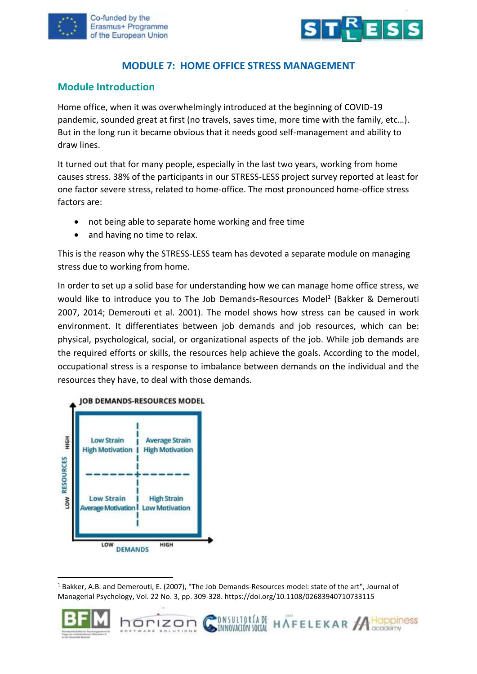



## **MODULE 7: HOME OFFICE STRESS MANAGEMENT**

#### **Module Introduction**

Home office, when it was overwhelmingly introduced at the beginning of COVID-19 pandemic, sounded great at first (no travels, saves time, more time with the family, etc…). But in the long run it became obvious that it needs good self-management and ability to draw lines.

It turned out that for many people, especially in the last two years, working from home causes stress. 38% of the participants in our STRESS-LESS project survey reported at least for one factor severe stress, related to home-office. The most pronounced home-office stress factors are:

- not being able to separate home working and free time
- and having no time to relax.

This is the reason why the STRESS-LESS team has devoted a separate module on managing stress due to working from home.

In order to set up a solid base for understanding how we can manage home office stress, we would like to introduce you to The Job Demands-Resources Model<sup>1</sup> (Bakker & Demerouti 2007, 2014; Demerouti et al. 2001). The model shows how stress can be caused in work environment. It differentiates between job demands and job resources, which can be: physical, psychological, social, or organizational aspects of the job. While job demands are the required efforts or skills, the resources help achieve the goals. According to the model, occupational stress is a response to imbalance between demands on the individual and the resources they have, to deal with those demands.



horizon

**NSULTORIADE** 

INNOVACIÓN SOCIAL

HAFELEKAR A HOPPINESS



<sup>1</sup> Bakker, A.B. and Demerouti, E. (2007), "The Job Demands‐Resources model: state of the art", Journal of Managerial Psychology, Vol. 22 No. 3, pp. 309-328. https://doi.org/10.1108/02683940710733115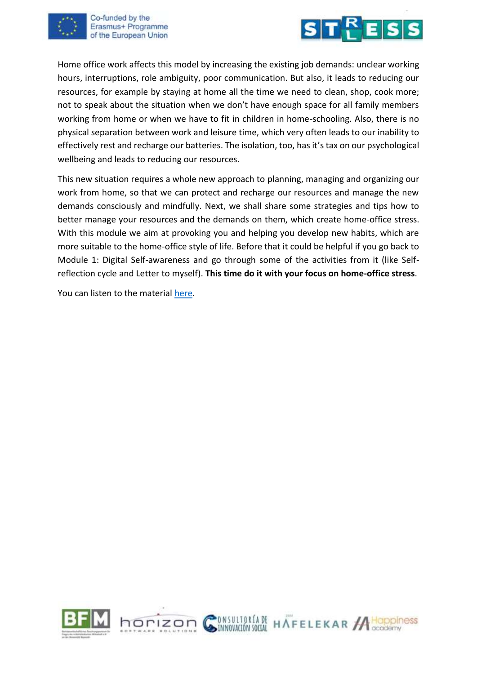

Co-funded by the Erasmus+ Programme of the European Union



Home office work affects this model by increasing the existing job demands: unclear working hours, interruptions, role ambiguity, poor communication. But also, it leads to reducing our resources, for example by staying at home all the time we need to clean, shop, cook more; not to speak about the situation when we don't have enough space for all family members working from home or when we have to fit in children in home-schooling. Also, there is no physical separation between work and leisure time, which very often leads to our inability to effectively rest and recharge our batteries. The isolation, too, has it's tax on our psychological wellbeing and leads to reducing our resources.

This new situation requires a whole new approach to planning, managing and organizing our work from home, so that we can protect and recharge our resources and manage the new demands consciously and mindfully. Next, we shall share some strategies and tips how to better manage your resources and the demands on them, which create home-office stress. With this module we aim at provoking you and helping you develop new habits, which are more suitable to the home-office style of life. Before that it could be helpful if you go back to Module 1: Digital Self-awareness and go through some of the activities from it (like Selfreflection cycle and Letter to myself). **This time do it with your focus on home-office stress**.

You can listen to the material [here.](https://youtu.be/Mlubz8FO878)

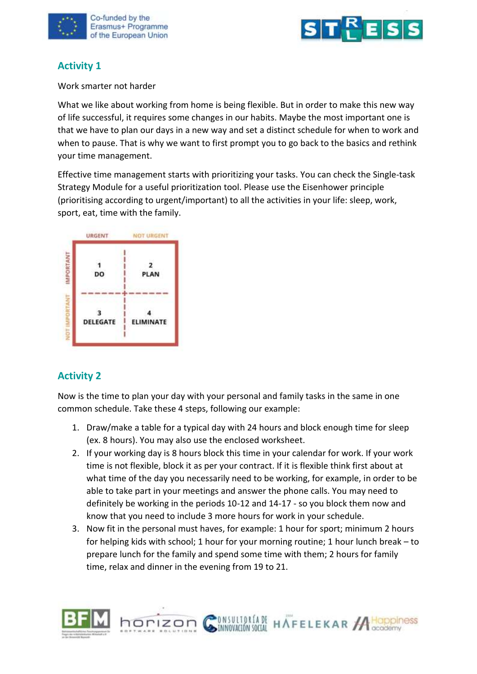



## **Activity 1**

Work smarter not harder

What we like about working from home is being flexible. But in order to make this new way of life successful, it requires some changes in our habits. Maybe the most important one is that we have to plan our days in a new way and set a distinct schedule for when to work and when to pause. That is why we want to first prompt you to go back to the basics and rethink your time management.

Effective time management starts with prioritizing your tasks. You can check the Single-task Strategy Module for a useful prioritization tool. Please use the Eisenhower principle (prioritising according to urgent/important) to all the activities in your life: sleep, work, sport, eat, time with the family.



## **Activity 2**

Now is the time to plan your day with your personal and family tasks in the same in one common schedule. Take these 4 steps, following our example:

- 1. Draw/make a table for a typical day with 24 hours and block enough time for sleep (ex. 8 hours). You may also use the enclosed worksheet.
- 2. If your working day is 8 hours block this time in your calendar for work. If your work time is not flexible, block it as per your contract. If it is flexible think first about at what time of the day you necessarily need to be working, for example, in order to be able to take part in your meetings and answer the phone calls. You may need to definitely be working in the periods 10-12 and 14-17 - so you block them now and know that you need to include 3 more hours for work in your schedule.
- 3. Now fit in the personal must haves, for example: 1 hour for sport; minimum 2 hours for helping kids with school; 1 hour for your morning routine; 1 hour lunch break – to prepare lunch for the family and spend some time with them; 2 hours for family time, relax and dinner in the evening from 19 to 21.

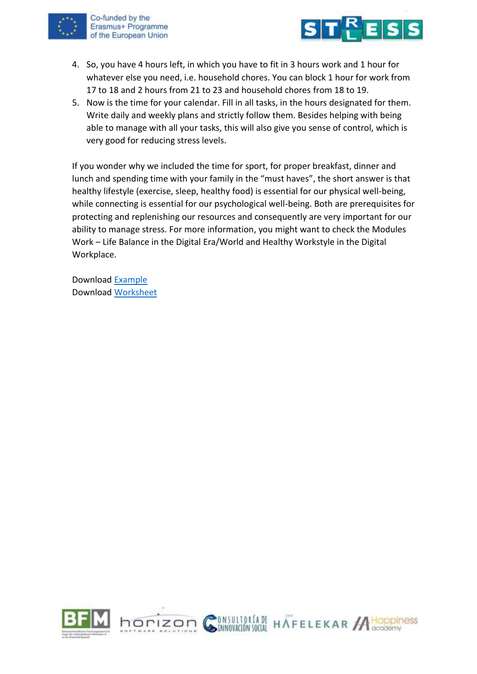

Co-funded by the Erasmus+ Programme of the European Union



- 4. So, you have 4 hours left, in which you have to fit in 3 hours work and 1 hour for whatever else you need, i.e. household chores. You can block 1 hour for work from 17 to 18 and 2 hours from 21 to 23 and household chores from 18 to 19.
- 5. Now is the time for your calendar. Fill in all tasks, in the hours designated for them. Write daily and weekly plans and strictly follow them. Besides helping with being able to manage with all your tasks, this will also give you sense of control, which is very good for reducing stress levels.

If you wonder why we included the time for sport, for proper breakfast, dinner and lunch and spending time with your family in the "must haves", the short answer is that healthy lifestyle (exercise, sleep, healthy food) is essential for our physical well-being, while connecting is essential for our psychological well-being. Both are prerequisites for protecting and replenishing our resources and consequently are very important for our ability to manage stress. For more information, you might want to check the Modules Work – Life Balance in the Digital Era/World and Healthy Workstyle in the Digital Workplace.

Download [Example](https://www.stress-less-project.eu/uploads/Example%20Commom%20Schedule%20EN.pdf) Download [Worksheet](https://www.stress-less-project.eu/uploads/Worksheet%20Daily%20Planner%20EN.pdf)

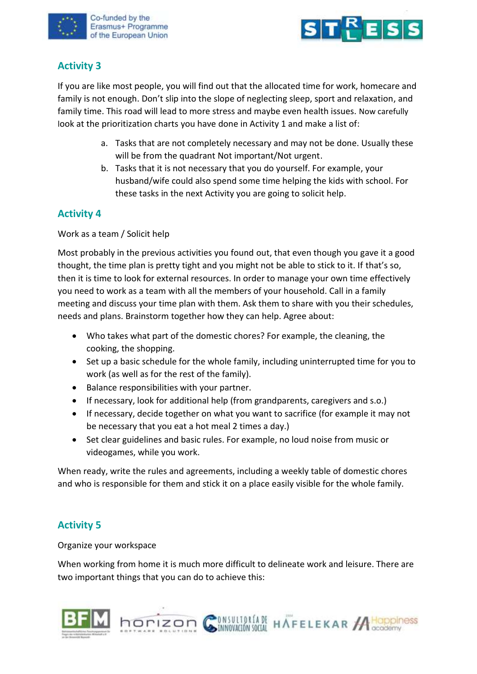



## **Activity 3**

If you are like most people, you will find out that the allocated time for work, homecare and family is not enough. Don't slip into the slope of neglecting sleep, sport and relaxation, and family time. This road will lead to more stress and maybe even health issues. Now carefully look at the prioritization charts you have done in Activity 1 and make a list of:

- a. Tasks that are not completely necessary and may not be done. Usually these will be from the quadrant Not important/Not urgent.
- b. Tasks that it is not necessary that you do yourself. For example, your husband/wife could also spend some time helping the kids with school. For these tasks in the next Activity you are going to solicit help.

## **Activity 4**

Work as a team / Solicit help

Most probably in the previous activities you found out, that even though you gave it a good thought, the time plan is pretty tight and you might not be able to stick to it. If that's so, then it is time to look for external resources. In order to manage your own time effectively you need to work as a team with all the members of your household. Call in a family meeting and discuss your time plan with them. Ask them to share with you their schedules, needs and plans. Brainstorm together how they can help. Agree about:

- Who takes what part of the domestic chores? For example, the cleaning, the cooking, the shopping.
- Set up a basic schedule for the whole family, including uninterrupted time for you to work (as well as for the rest of the family).
- Balance responsibilities with your partner.
- If necessary, look for additional help (from grandparents, caregivers and s.o.)
- If necessary, decide together on what you want to sacrifice (for example it may not be necessary that you eat a hot meal 2 times a day.)
- Set clear guidelines and basic rules. For example, no loud noise from music or videogames, while you work.

When ready, write the rules and agreements, including a weekly table of domestic chores and who is responsible for them and stick it on a place easily visible for the whole family.

# **Activity 5**

Organize your workspace

When working from home it is much more difficult to delineate work and leisure. There are two important things that you can do to achieve this:



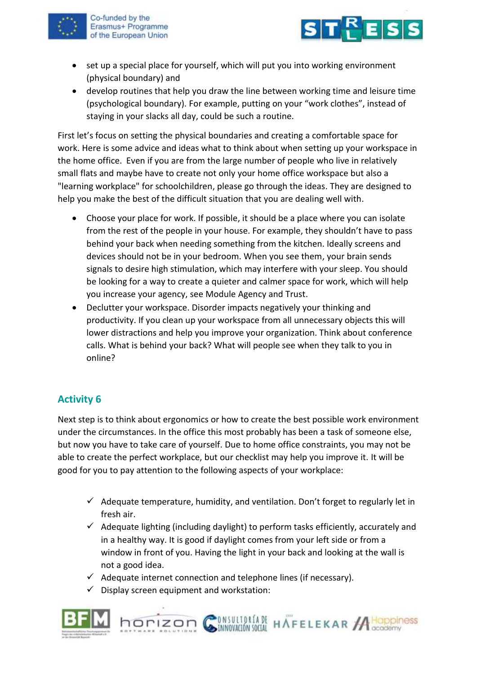

Co-funded by the Erasmus+ Programme of the European Union



- set up a special place for yourself, which will put you into working environment (physical boundary) and
- develop routines that help you draw the line between working time and leisure time (psychological boundary). For example, putting on your "work clothes", instead of staying in your slacks all day, could be such a routine.

First let's focus on setting the physical boundaries and creating a comfortable space for work. Here is some advice and ideas what to think about when setting up your workspace in the home office. Even if you are from the large number of people who live in relatively small flats and maybe have to create not only your home office workspace but also a "learning workplace" for schoolchildren, please go through the ideas. They are designed to help you make the best of the difficult situation that you are dealing well with.

- Choose your place for work. If possible, it should be a place where you can isolate from the rest of the people in your house. For example, they shouldn't have to pass behind your back when needing something from the kitchen. Ideally screens and devices should not be in your bedroom. When you see them, your brain sends signals to desire high stimulation, which may interfere with your sleep. You should be looking for a way to create a quieter and calmer space for work, which will help you increase your agency, see Module Agency and Trust.
- Declutter your workspace. Disorder impacts negatively your thinking and productivity. If you clean up your workspace from all unnecessary objects this will lower distractions and help you improve your organization. Think about conference calls. What is behind your back? What will people see when they talk to you in online?

# **Activity 6**

Next step is to think about ergonomics or how to create the best possible work environment under the circumstances. In the office this most probably has been a task of someone else, but now you have to take care of yourself. Due to home office constraints, you may not be able to create the perfect workplace, but our checklist may help you improve it. It will be good for you to pay attention to the following aspects of your workplace:

- $\checkmark$  Adequate temperature, humidity, and ventilation. Don't forget to regularly let in fresh air.
- $\checkmark$  Adequate lighting (including daylight) to perform tasks efficiently, accurately and in a healthy way. It is good if daylight comes from your left side or from a window in front of you. Having the light in your back and looking at the wall is not a good idea.

INVESTIGATE HAFFELEKAR ACOppiness

- $\checkmark$  Adequate internet connection and telephone lines (if necessary).
- Display screen equipment and workstation:

horizon  $\mathcal C$ 

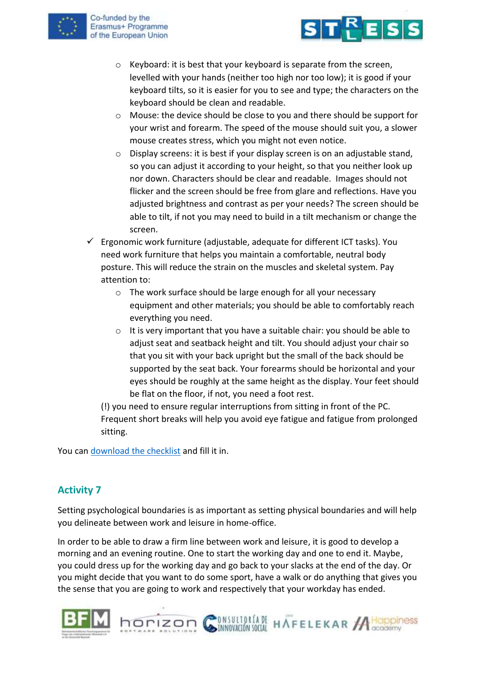



- o Keyboard: it is best that your keyboard is separate from the screen, levelled with your hands (neither too high nor too low); it is good if your keyboard tilts, so it is easier for you to see and type; the characters on the keyboard should be clean and readable.
- o Mouse: the device should be close to you and there should be support for your wrist and forearm. The speed of the mouse should suit you, a slower mouse creates stress, which you might not even notice.
- o Display screens: it is best if your display screen is on an adjustable stand, so you can adjust it according to your height, so that you neither look up nor down. Characters should be clear and readable. Images should not flicker and the screen should be free from glare and reflections. Have you adjusted brightness and contrast as per your needs? The screen should be able to tilt, if not you may need to build in a tilt mechanism or change the screen.
- $\checkmark$  Ergonomic work furniture (adjustable, adequate for different ICT tasks). You need work furniture that helps you maintain a comfortable, neutral body posture. This will reduce the strain on the muscles and skeletal system. Pay attention to:
	- o The work surface should be large enough for all your necessary equipment and other materials; you should be able to comfortably reach everything you need.
	- o It is very important that you have a suitable chair: you should be able to adjust seat and seatback height and tilt. You should adjust your chair so that you sit with your back upright but the small of the back should be supported by the seat back. Your forearms should be horizontal and your eyes should be roughly at the same height as the display. Your feet should be flat on the floor, if not, you need a foot rest.

(!) you need to ensure regular interruptions from sitting in front of the PC. Frequent short breaks will help you avoid eye fatigue and fatigue from prolonged sitting.

You can [download the checklist](https://www.stress-less-project.eu/uploads/Checklist%20EN.pdf) and fill it in.

# **Activity 7**

Setting psychological boundaries is as important as setting physical boundaries and will help you delineate between work and leisure in home-office.

In order to be able to draw a firm line between work and leisure, it is good to develop a morning and an evening routine. One to start the working day and one to end it. Maybe, you could dress up for the working day and go back to your slacks at the end of the day. Or you might decide that you want to do some sport, have a walk or do anything that gives you the sense that you are going to work and respectively that your workday has ended.



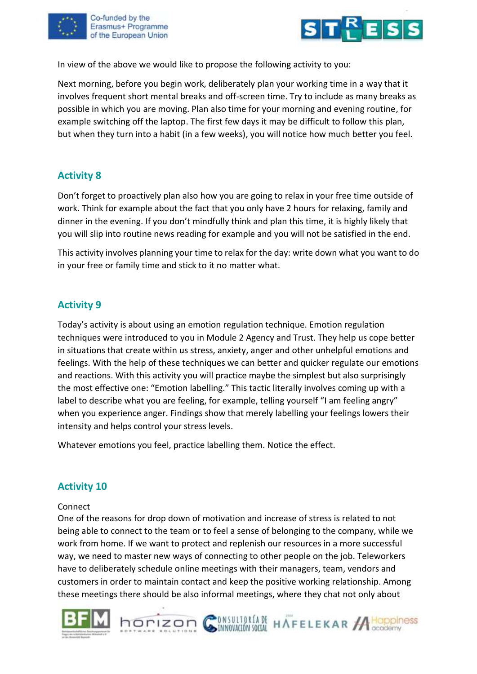



In view of the above we would like to propose the following activity to you:

Next morning, before you begin work, deliberately plan your working time in a way that it involves frequent short mental breaks and off-screen time. Try to include as many breaks as possible in which you are moving. Plan also time for your morning and evening routine, for example switching off the laptop. The first few days it may be difficult to follow this plan, but when they turn into a habit (in a few weeks), you will notice how much better you feel.

## **Activity 8**

Don't forget to proactively plan also how you are going to relax in your free time outside of work. Think for example about the fact that you only have 2 hours for relaxing, family and dinner in the evening. If you don't mindfully think and plan this time, it is highly likely that you will slip into routine news reading for example and you will not be satisfied in the end.

This activity involves planning your time to relax for the day: write down what you want to do in your free or family time and stick to it no matter what.

### **Activity 9**

Today's activity is about using an emotion regulation technique. Emotion regulation techniques were introduced to you in Module 2 Agency and Trust. They help us cope better in situations that create within us stress, anxiety, anger and other unhelpful emotions and feelings. With the help of these techniques we can better and quicker regulate our emotions and reactions. With this activity you will practice maybe the simplest but also surprisingly the most effective one: "Emotion labelling." This tactic literally involves coming up with a label to describe what you are feeling, for example, telling yourself "I am feeling angry" when you experience anger. Findings show that merely labelling your feelings lowers their intensity and helps control your stress levels.

Whatever emotions you feel, practice labelling them. Notice the effect.

#### **Activity 10**

#### Connect

One of the reasons for drop down of motivation and increase of stress is related to not being able to connect to the team or to feel a sense of belonging to the company, while we work from home. If we want to protect and replenish our resources in a more successful way, we need to master new ways of connecting to other people on the job. Teleworkers have to deliberately schedule online meetings with their managers, team, vendors and customers in order to maintain contact and keep the positive working relationship. Among these meetings there should be also informal meetings, where they chat not only about



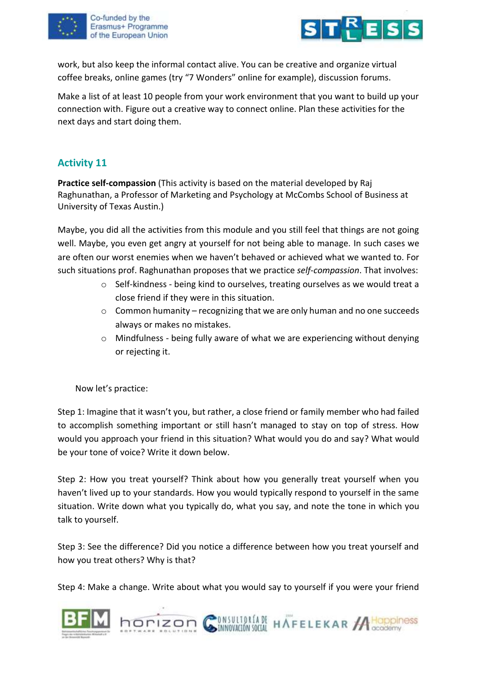



work, but also keep the informal contact alive. You can be creative and organize virtual coffee breaks, online games (try "7 Wonders" online for example), discussion forums.

Make a list of at least 10 people from your work environment that you want to build up your connection with. Figure out a creative way to connect online. Plan these activities for the next days and start doing them.

## **Activity 11**

**Practice self-compassion** (This activity is based on the material developed by Raj Raghunathan, a Professor of Marketing and Psychology at McCombs School of Business at University of Texas Austin.)

Maybe, you did all the activities from this module and you still feel that things are not going well. Maybe, you even get angry at yourself for not being able to manage. In such cases we are often our worst enemies when we haven't behaved or achieved what we wanted to. For such situations prof. Raghunathan proposes that we practice *self-compassion*. That involves:

- o Self-kindness being kind to ourselves, treating ourselves as we would treat a close friend if they were in this situation.
- o Common humanity recognizing that we are only human and no one succeeds always or makes no mistakes.
- $\circ$  Mindfulness being fully aware of what we are experiencing without denying or rejecting it.

Now let's practice:

Step 1: Imagine that it wasn't you, but rather, a close friend or family member who had failed to accomplish something important or still hasn't managed to stay on top of stress. How would you approach your friend in this situation? What would you do and say? What would be your tone of voice? Write it down below.

Step 2: How you treat yourself? Think about how you generally treat yourself when you haven't lived up to your standards. How you would typically respond to yourself in the same situation. Write down what you typically do, what you say, and note the tone in which you talk to yourself.

Step 3: See the difference? Did you notice a difference between how you treat yourself and how you treat others? Why is that?

Step 4: Make a change. Write about what you would say to yourself if you were your friend

INVESTIGATE HAFFELEKAR ACOppiness



horizon (